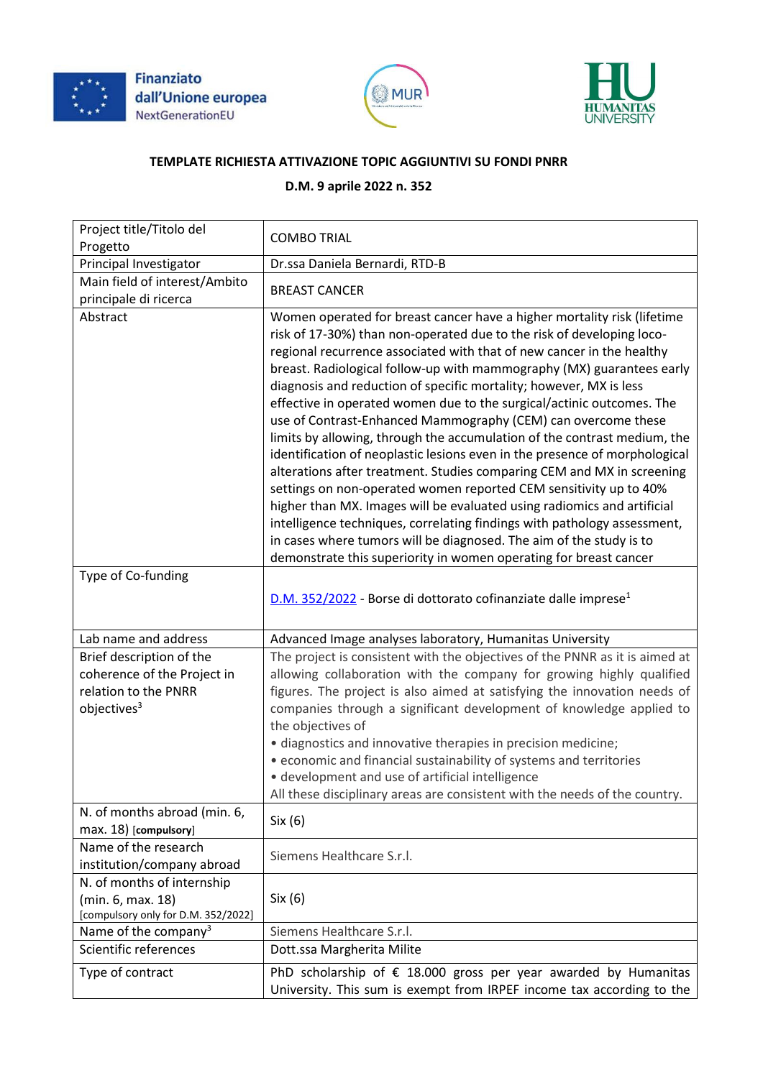





## **TEMPLATE RICHIESTA ATTIVAZIONE TOPIC AGGIUNTIVI SU FONDI PNRR**

## **D.M. 9 aprile 2022 n. 352**

| Project title/Titolo del<br>Progetto                                                                       | <b>COMBO TRIAL</b>                                                                                                                                                                                                                                                                                                                                                                                                                                                                                                                                                                                                                                                                                                                                                                                                                                                                                                                                                                                                                                                                                                             |
|------------------------------------------------------------------------------------------------------------|--------------------------------------------------------------------------------------------------------------------------------------------------------------------------------------------------------------------------------------------------------------------------------------------------------------------------------------------------------------------------------------------------------------------------------------------------------------------------------------------------------------------------------------------------------------------------------------------------------------------------------------------------------------------------------------------------------------------------------------------------------------------------------------------------------------------------------------------------------------------------------------------------------------------------------------------------------------------------------------------------------------------------------------------------------------------------------------------------------------------------------|
| Principal Investigator                                                                                     | Dr.ssa Daniela Bernardi, RTD-B                                                                                                                                                                                                                                                                                                                                                                                                                                                                                                                                                                                                                                                                                                                                                                                                                                                                                                                                                                                                                                                                                                 |
| Main field of interest/Ambito<br>principale di ricerca                                                     | <b>BREAST CANCER</b>                                                                                                                                                                                                                                                                                                                                                                                                                                                                                                                                                                                                                                                                                                                                                                                                                                                                                                                                                                                                                                                                                                           |
| Abstract                                                                                                   | Women operated for breast cancer have a higher mortality risk (lifetime<br>risk of 17-30%) than non-operated due to the risk of developing loco-<br>regional recurrence associated with that of new cancer in the healthy<br>breast. Radiological follow-up with mammography (MX) guarantees early<br>diagnosis and reduction of specific mortality; however, MX is less<br>effective in operated women due to the surgical/actinic outcomes. The<br>use of Contrast-Enhanced Mammography (CEM) can overcome these<br>limits by allowing, through the accumulation of the contrast medium, the<br>identification of neoplastic lesions even in the presence of morphological<br>alterations after treatment. Studies comparing CEM and MX in screening<br>settings on non-operated women reported CEM sensitivity up to 40%<br>higher than MX. Images will be evaluated using radiomics and artificial<br>intelligence techniques, correlating findings with pathology assessment,<br>in cases where tumors will be diagnosed. The aim of the study is to<br>demonstrate this superiority in women operating for breast cancer |
| Type of Co-funding                                                                                         | D.M. 352/2022 - Borse di dottorato cofinanziate dalle imprese <sup>1</sup>                                                                                                                                                                                                                                                                                                                                                                                                                                                                                                                                                                                                                                                                                                                                                                                                                                                                                                                                                                                                                                                     |
| Lab name and address                                                                                       | Advanced Image analyses laboratory, Humanitas University                                                                                                                                                                                                                                                                                                                                                                                                                                                                                                                                                                                                                                                                                                                                                                                                                                                                                                                                                                                                                                                                       |
| Brief description of the<br>coherence of the Project in<br>relation to the PNRR<br>objectives <sup>3</sup> | The project is consistent with the objectives of the PNNR as it is aimed at<br>allowing collaboration with the company for growing highly qualified<br>figures. The project is also aimed at satisfying the innovation needs of<br>companies through a significant development of knowledge applied to<br>the objectives of<br>· diagnostics and innovative therapies in precision medicine;<br>• economic and financial sustainability of systems and territories<br>· development and use of artificial intelligence<br>All these disciplinary areas are consistent with the needs of the country.                                                                                                                                                                                                                                                                                                                                                                                                                                                                                                                           |
| N. of months abroad (min. 6,<br>max. 18) [compulsory]                                                      | Six (6)                                                                                                                                                                                                                                                                                                                                                                                                                                                                                                                                                                                                                                                                                                                                                                                                                                                                                                                                                                                                                                                                                                                        |
| Name of the research<br>institution/company abroad                                                         | Siemens Healthcare S.r.l.                                                                                                                                                                                                                                                                                                                                                                                                                                                                                                                                                                                                                                                                                                                                                                                                                                                                                                                                                                                                                                                                                                      |
| N. of months of internship<br>(min. 6, max. 18)<br>[compulsory only for D.M. 352/2022]                     | Six(6)                                                                                                                                                                                                                                                                                                                                                                                                                                                                                                                                                                                                                                                                                                                                                                                                                                                                                                                                                                                                                                                                                                                         |
| Name of the company <sup>3</sup>                                                                           | Siemens Healthcare S.r.l.                                                                                                                                                                                                                                                                                                                                                                                                                                                                                                                                                                                                                                                                                                                                                                                                                                                                                                                                                                                                                                                                                                      |
| Scientific references                                                                                      | Dott.ssa Margherita Milite                                                                                                                                                                                                                                                                                                                                                                                                                                                                                                                                                                                                                                                                                                                                                                                                                                                                                                                                                                                                                                                                                                     |
| Type of contract                                                                                           | PhD scholarship of $\epsilon$ 18.000 gross per year awarded by Humanitas<br>University. This sum is exempt from IRPEF income tax according to the                                                                                                                                                                                                                                                                                                                                                                                                                                                                                                                                                                                                                                                                                                                                                                                                                                                                                                                                                                              |